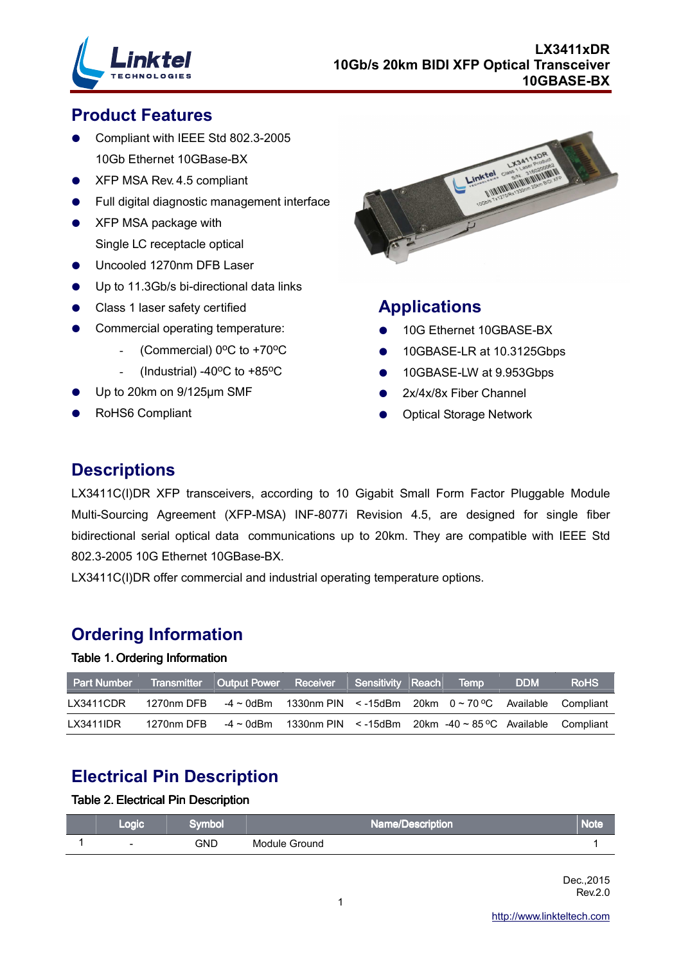

### **Product Features**

- Compliant with IEEE Std 802.3-2005 10Gb Ethernet 10GBase-BX
- XFP MSA Rev. 4.5 compliant
- Full digital diagnostic management interface
- XFP MSA package with Single LC receptacle optical
- Uncooled 1270nm DFB Laser
- Up to 11.3Gb/s bi-directional data links
- Class 1 laser safety certified
- Commercial operating temperature:
	- (Commercial)  $0^{\circ}$ C to +70 $^{\circ}$ C
	- (Industrial) -40 $\degree$ C to +85 $\degree$ C
- Up to 20km on 9/125µm SMF
- RoHS6 Compliant



### **Applications**

- 10G Ethernet 10GBASE-BX
- 10GBASE-LR at 10.3125Gbps
- 10GBASE-LW at 9.953Gbps
- 2x/4x/8x Fiber Channel
- Optical Storage Network

### **Descriptions**

LX3411C(I)DR XFP transceivers, according to 10 Gigabit Small Form Factor Pluggable Module Multi-Sourcing Agreement (XFP-MSA) INF-8077i Revision 4.5, are designed for single fiber bidirectional serial optical data communications up to 20km. They are compatible with IEEE Std 802.3-2005 10G Ethernet 10GBase-BX.

LX3411C(I)DR offer commercial and industrial operating temperature options.

### **Ordering Information**

### Table 1. Ordering Information

| <b>Part Number</b> |            | Transmitter Output Power Receiver Sensitivity Reach |                                                                     |  | <b>Nemp</b> | <b>DDM</b> | <b>RoHS</b> |
|--------------------|------------|-----------------------------------------------------|---------------------------------------------------------------------|--|-------------|------------|-------------|
| LX3411CDR          | 1270nm DFB | -4 ~ 0dBm                                           | 1330nm PIN $\le$ -15dBm 20km $0 \sim 70$ °C Available               |  |             |            | Compliant   |
| LX3411IDR          | 1270nm DFB |                                                     | $-4 \sim 0$ dBm 1330nm PIN < -15dBm 20km -40 $\sim 85$ °C Available |  |             |            | Compliant   |

## **Electrical Pin Description**

#### Table 2. Electrical Pin Description

| Logic                    | iymbol | <b>Name/Description</b> | Note |
|--------------------------|--------|-------------------------|------|
| $\overline{\phantom{0}}$ | GND    | Module Ground           |      |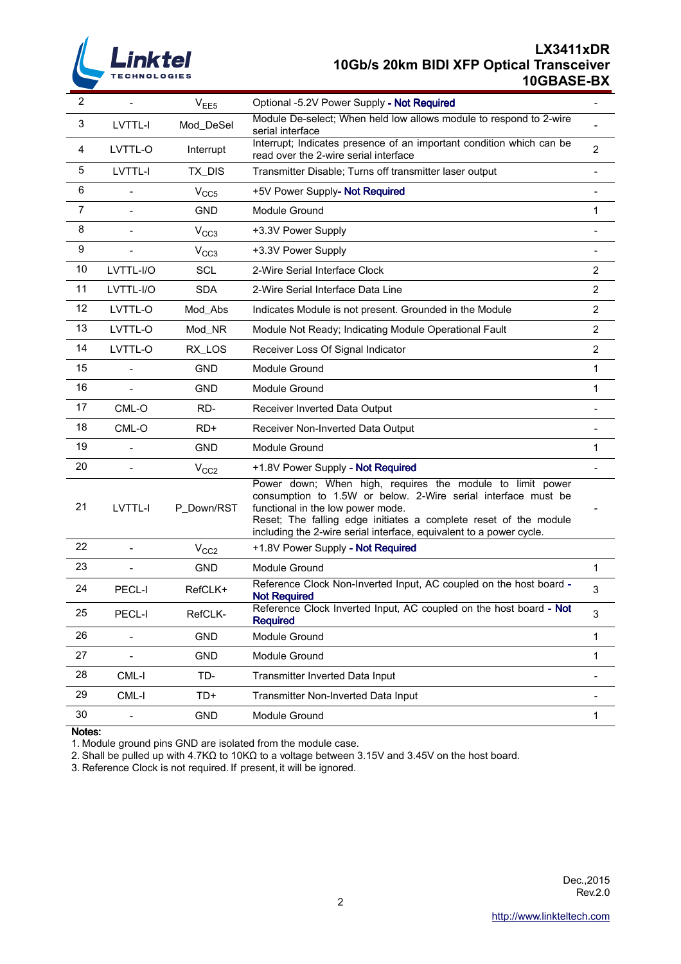

### **LX3411xDR 10Gb/s 20km BIDI XFP Optical Transceiver 10GBASE-BX**

| 2              |                | V <sub>EE5</sub> | Optional -5.2V Power Supply - Not Required                                                                                                                                                                                                                                                                 |                |
|----------------|----------------|------------------|------------------------------------------------------------------------------------------------------------------------------------------------------------------------------------------------------------------------------------------------------------------------------------------------------------|----------------|
| 3              | LVTTL-I        | Mod_DeSel        | Module De-select; When held low allows module to respond to 2-wire<br>serial interface                                                                                                                                                                                                                     |                |
| 4              | LVTTL-O        | Interrupt        | Interrupt; Indicates presence of an important condition which can be<br>read over the 2-wire serial interface                                                                                                                                                                                              | $\overline{2}$ |
| 5              | LVTTL-I        | TX_DIS           | Transmitter Disable; Turns off transmitter laser output                                                                                                                                                                                                                                                    |                |
| 6              |                | V <sub>CC5</sub> | +5V Power Supply- Not Required                                                                                                                                                                                                                                                                             |                |
| $\overline{7}$ |                | <b>GND</b>       | Module Ground                                                                                                                                                                                                                                                                                              | 1              |
| 8              | $\blacksquare$ | V <sub>CC3</sub> | +3.3V Power Supply                                                                                                                                                                                                                                                                                         |                |
| 9              |                | V <sub>CC3</sub> | +3.3V Power Supply                                                                                                                                                                                                                                                                                         |                |
| 10             | LVTTL-I/O      | <b>SCL</b>       | 2-Wire Serial Interface Clock                                                                                                                                                                                                                                                                              | $\overline{2}$ |
| 11             | LVTTL-I/O      | <b>SDA</b>       | 2-Wire Serial Interface Data Line                                                                                                                                                                                                                                                                          | $\overline{2}$ |
| 12             | LVTTL-O        | Mod_Abs          | Indicates Module is not present. Grounded in the Module                                                                                                                                                                                                                                                    | 2              |
| 13             | LVTTL-O        | Mod_NR           | Module Not Ready; Indicating Module Operational Fault                                                                                                                                                                                                                                                      | $\overline{c}$ |
| 14             | LVTTL-O        | RX_LOS           | Receiver Loss Of Signal Indicator                                                                                                                                                                                                                                                                          | $\overline{2}$ |
| 15             |                | <b>GND</b>       | Module Ground                                                                                                                                                                                                                                                                                              | 1              |
| 16             | $\overline{a}$ | <b>GND</b>       | Module Ground                                                                                                                                                                                                                                                                                              | 1              |
| 17             | CML-O          | RD-              | Receiver Inverted Data Output                                                                                                                                                                                                                                                                              |                |
| 18             | CML-O          | $RD+$            | Receiver Non-Inverted Data Output                                                                                                                                                                                                                                                                          |                |
| 19             |                | <b>GND</b>       | Module Ground                                                                                                                                                                                                                                                                                              | 1              |
| 20             |                | V <sub>CC2</sub> | +1.8V Power Supply - Not Required                                                                                                                                                                                                                                                                          |                |
| 21             | LVTTL-I        | P_Down/RST       | Power down; When high, requires the module to limit power<br>consumption to 1.5W or below. 2-Wire serial interface must be<br>functional in the low power mode.<br>Reset; The falling edge initiates a complete reset of the module<br>including the 2-wire serial interface, equivalent to a power cycle. |                |
| 22             |                | V <sub>CC2</sub> | +1.8V Power Supply - Not Required                                                                                                                                                                                                                                                                          |                |
| 23             |                | <b>GND</b>       | Module Ground                                                                                                                                                                                                                                                                                              | 1              |
| 24             | PECL-I         | RefCLK+          | Reference Clock Non-Inverted Input, AC coupled on the host board -<br><b>Not Required</b>                                                                                                                                                                                                                  | $\mathsf 3$    |
| 25             | PECL-I         | RefCLK-          | Reference Clock Inverted Input, AC coupled on the host board - Not<br><b>Required</b>                                                                                                                                                                                                                      | $\mathsf 3$    |
| 26             |                | GND              | Module Ground                                                                                                                                                                                                                                                                                              | 1              |
| 27             | $\overline{a}$ | <b>GND</b>       | Module Ground                                                                                                                                                                                                                                                                                              | 1              |
| 28             | CML-I          | TD-              | Transmitter Inverted Data Input                                                                                                                                                                                                                                                                            | -              |
| 29             | CML-I          | TD+              | Transmitter Non-Inverted Data Input                                                                                                                                                                                                                                                                        |                |
| 30             |                | <b>GND</b>       | Module Ground                                                                                                                                                                                                                                                                                              | 1              |

Notes:

1. Module ground pins GND are isolated from the module case.

2. Shall be pulled up with 4.7KΩ to 10KΩ to a voltage between 3.15V and 3.45V on the host board.

3. Reference Clock is not required. If present, it will be ignored.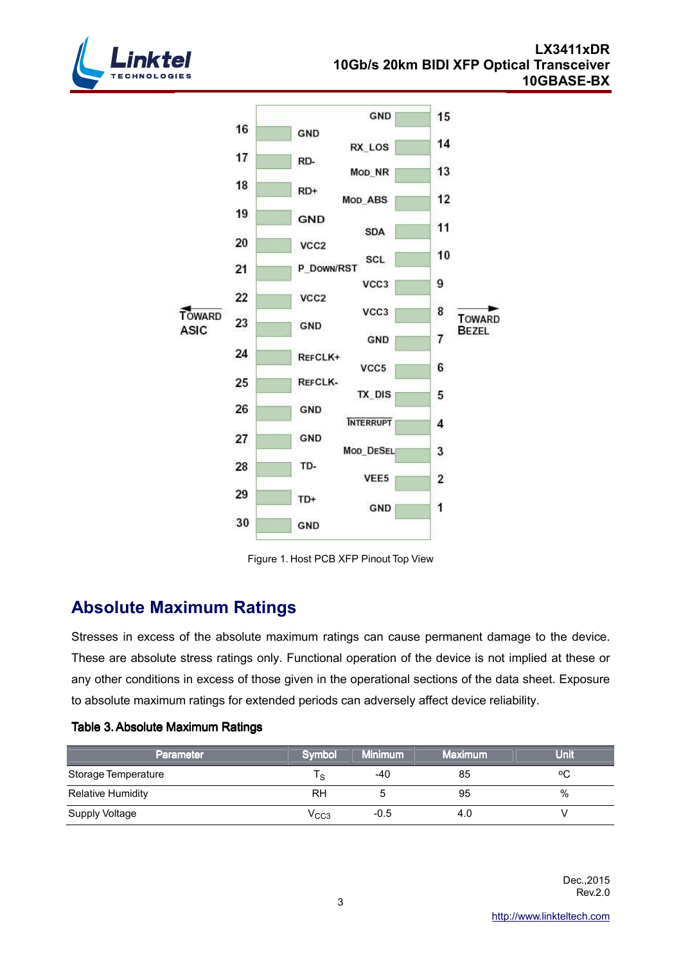



Figure 1. Host PCB XFP Pinout Top View

## **Absolute Maximum Ratings**

Stresses in excess of the absolute maximum ratings can cause permanent damage to the device. These are absolute stress ratings only. Functional operation of the device is not implied at these or any other conditions in excess of those given in the operational sections of the data sheet. Exposure to absolute maximum ratings for extended periods can adversely affect device reliability.

| Parameter                | <b>Symbol</b> | <b>Minimum</b> | <b>Maximum</b> | Unit |
|--------------------------|---------------|----------------|----------------|------|
| Storage Temperature      | ' S           | -40            | 85             | ٥C   |
| <b>Relative Humidity</b> | RH            |                | 95             | %    |
| Supply Voltage           | $\rm V_{CC3}$ | $-0.5$         | 4.0            |      |

### Table 3. Absolute Maximum Ratings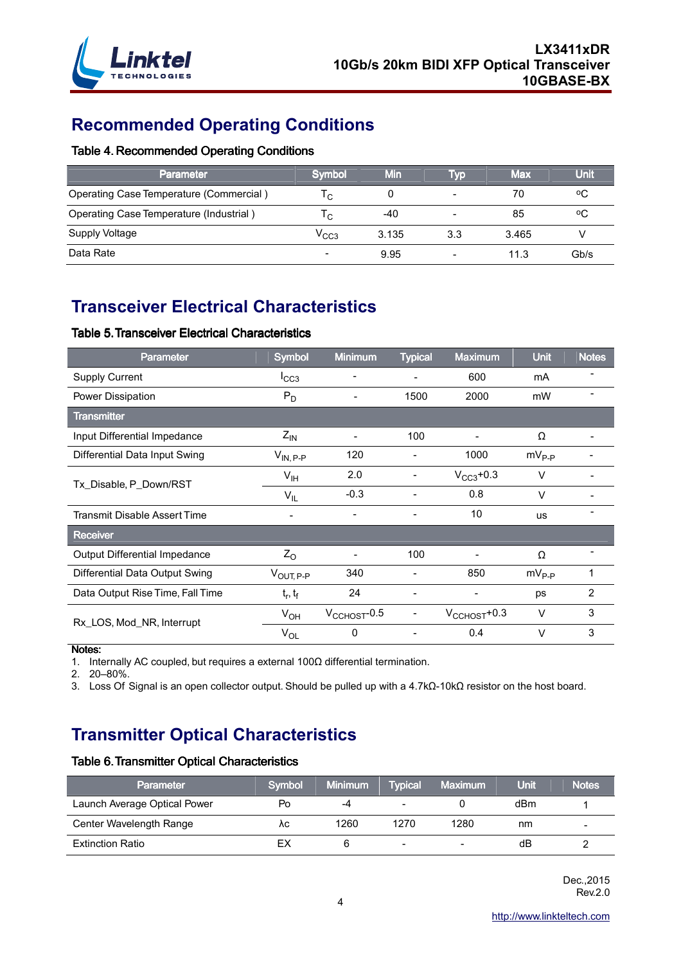

# **Recommended Operating Conditions**

#### Table 4. Recommended Operating Conditions

| <b>Parameter</b>                        | Symbol                   | Min   | <b>Typ</b> | <b>Max</b> | Unit |
|-----------------------------------------|--------------------------|-------|------------|------------|------|
| Operating Case Temperature (Commercial) | ۱c.                      |       |            | 70         | ٥C   |
| Operating Case Temperature (Industrial) | ۱c.                      | -40   |            | 85         | ٥C   |
| Supply Voltage                          | V <sub>CC3</sub>         | 3.135 | 3.3        | 3.465      |      |
| Data Rate                               | $\overline{\phantom{0}}$ | 9.95  |            | 11.3       | Gb/s |

# **Transceiver Electrical Characteristics**

#### Table 5. Transceiver Electrical Characteristics

| <b>Parameter</b>                    | Symbol                   | <b>Minimum</b>           | <b>Typical</b>           | <b>Maximum</b>            | <b>Unit</b> | <b>Notes</b>   |
|-------------------------------------|--------------------------|--------------------------|--------------------------|---------------------------|-------------|----------------|
| <b>Supply Current</b>               | $I_{CC3}$                |                          |                          | 600                       | mA          |                |
| Power Dissipation                   | $P_D$                    | $\blacksquare$           | 1500                     | 2000                      | mW          |                |
| <b>Transmitter</b>                  |                          |                          |                          |                           |             |                |
| Input Differential Impedance        | $Z_{IN}$                 | $\blacksquare$           | 100                      | $\blacksquare$            | Ω           |                |
| Differential Data Input Swing       | $V_{IN, P-P}$            | 120                      |                          | 1000                      | $mV_{P-P}$  |                |
| Tx_Disable, P_Down/RST              | $V_{\text{IH}}$          | 2.0                      | -                        | $V_{CC3}$ +0.3            | $\vee$      |                |
|                                     | $V_{IL}$                 | $-0.3$                   |                          | 0.8                       | $\vee$      |                |
| <b>Transmit Disable Assert Time</b> | $\overline{\phantom{a}}$ | $\blacksquare$           | $\overline{\phantom{a}}$ | 10                        | <b>us</b>   |                |
| <b>Receiver</b>                     |                          |                          |                          |                           |             |                |
| Output Differential Impedance       | $Z_{\rm O}$              |                          | 100                      |                           | Ω           | $\blacksquare$ |
| Differential Data Output Swing      | $V_{\text{OUT, P-P}}$    | 340                      | -                        | 850                       | $mV_{P-P}$  |                |
| Data Output Rise Time, Fall Time    | $t_r, t_f$               | 24                       | $\overline{\phantom{a}}$ | -                         | ps          | $\overline{2}$ |
| Rx_LOS, Mod_NR, Interrupt           | $V_{OH}$                 | $V_{\text{CCHOST}}$ -0.5 | -                        | $V_{\text{CCHOST}} + 0.3$ | $\vee$      | 3              |
|                                     | $V_{OL}$                 | 0                        | -                        | 0.4                       | $\vee$      | 3              |

Notes:

1. Internally AC coupled, but requires a external 100Ω differential termination.

2. 20–80%.

3. Loss Of Signal is an open collector output. Should be pulled up with a 4.7kΩ-10kΩ resistor on the host board.

## **Transmitter Optical Characteristics**

#### Table 6. Transmitter Optical Characteristics

| <b>Parameter</b>             | <b>Symbol</b> | <b>Minimum</b> | <b>Typical</b> | <b>Maximum</b> | <b>Unit</b> | <b>Notes</b>             |
|------------------------------|---------------|----------------|----------------|----------------|-------------|--------------------------|
| Launch Average Optical Power | Po            | -4             |                |                | dBm         |                          |
| Center Wavelength Range      | ٨с            | 1260           | 1270           | 1280           | nm          | $\overline{\phantom{0}}$ |
| <b>Extinction Ratio</b>      | EХ            |                | $\sim$         |                | dB          |                          |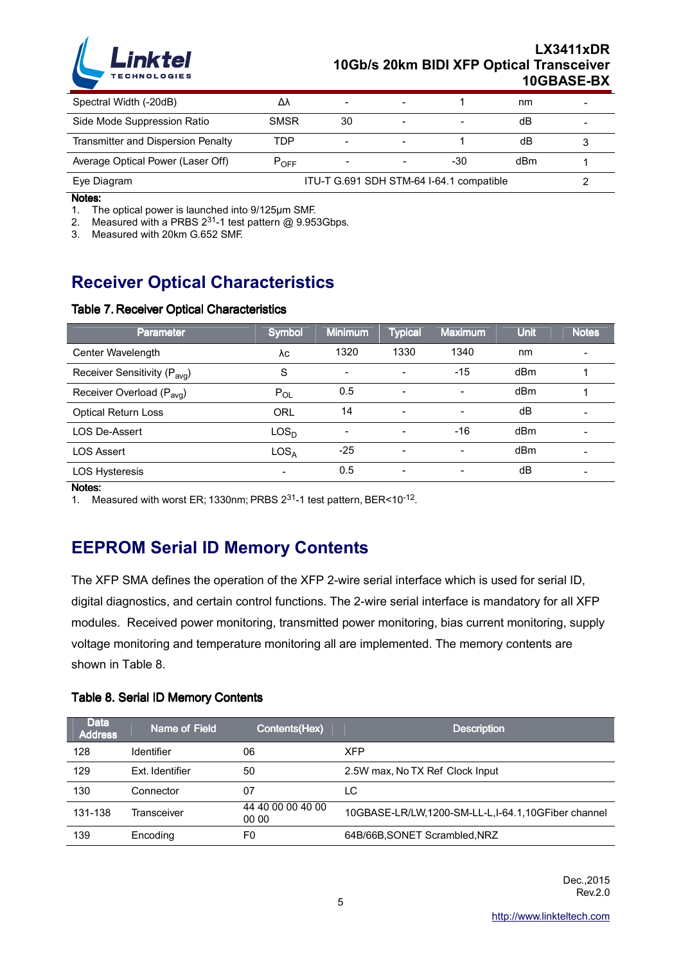

| Spectral Width (-20dB)             | Δ٨                                       | $\overline{\phantom{a}}$ |  |     | nm  |  |
|------------------------------------|------------------------------------------|--------------------------|--|-----|-----|--|
| Side Mode Suppression Ratio        | <b>SMSR</b>                              | 30                       |  |     | dB  |  |
| Transmitter and Dispersion Penalty | TDP                                      | $\overline{\phantom{a}}$ |  |     | dB  |  |
| Average Optical Power (Laser Off)  | $\mathsf{P}_{\mathsf{OFF}}$              |                          |  | -30 | dBm |  |
| Eye Diagram                        | ITU-T G.691 SDH STM-64 I-64.1 compatible |                          |  |     |     |  |

Notes:

1. The optical power is launched into 9/125µm SMF.

2. Measured with a PRBS  $2^{31}$ -1 test pattern @ 9.953Gbps.

3. Measured with 20km G.652 SMF.

## **Receiver Optical Characteristics**

#### Table 7. Receiver Optical Characteristics

| <b>Parameter</b>                         | Symbol                   | <b>Minimum</b> | <b>Typical</b> | <b>Maximum</b> | <b>Unit</b> | <b>Notes</b> |
|------------------------------------------|--------------------------|----------------|----------------|----------------|-------------|--------------|
| Center Wavelength                        | λc                       | 1320           | 1330           | 1340           | nm          |              |
| Receiver Sensitivity (P <sub>avg</sub> ) | S                        |                |                | $-15$          | dBm         |              |
| Receiver Overload (P <sub>avg</sub> )    | $P_{OL}$                 | 0.5            | Ξ.             | $\blacksquare$ | dBm         |              |
| <b>Optical Return Loss</b>               | ORL                      | 14             | Ξ.             | Ξ.             | dВ          |              |
| LOS De-Assert                            | LOS <sub>D</sub>         |                | -              | -16            | dBm         |              |
| <b>LOS Assert</b>                        | LOS <sub>A</sub>         | $-25$          | Ξ.             | Ξ.             | dBm         |              |
| <b>LOS Hysteresis</b>                    | $\overline{\phantom{0}}$ | 0.5            | -              | -              | dВ          |              |

Notes:

1. Measured with worst ER; 1330nm; PRBS 231-1 test pattern, BER<10-12.

### **EEPROM Serial ID Memory Contents**

The XFP SMA defines the operation of the XFP 2-wire serial interface which is used for serial ID, digital diagnostics, and certain control functions. The 2-wire serial interface is mandatory for all XFP modules. Received power monitoring, transmitted power monitoring, bias current monitoring, supply voltage monitoring and temperature monitoring all are implemented. The memory contents are shown in Table 8.

#### Table 8. Serial ID Memory Contents

| <b>Data</b><br><b>Address</b> | <b>Name of Field</b> | Contents(Hex)              | <b>Description</b>                                 |
|-------------------------------|----------------------|----------------------------|----------------------------------------------------|
| 128                           | Identifier           | 06                         | <b>XFP</b>                                         |
| 129                           | Ext. Identifier      | 50                         | 2.5W max, No TX Ref Clock Input                    |
| 130                           | Connector            | 07                         | LC                                                 |
| 131-138                       | Transceiver          | 44 40 00 00 40 00<br>00 00 | 10GBASE-LR/LW,1200-SM-LL-L,I-64.1,10GFiber channel |
| 139                           | Encoding             | F0                         | 64B/66B, SONET Scrambled, NRZ                      |

Dec.,2015 Rev.2.0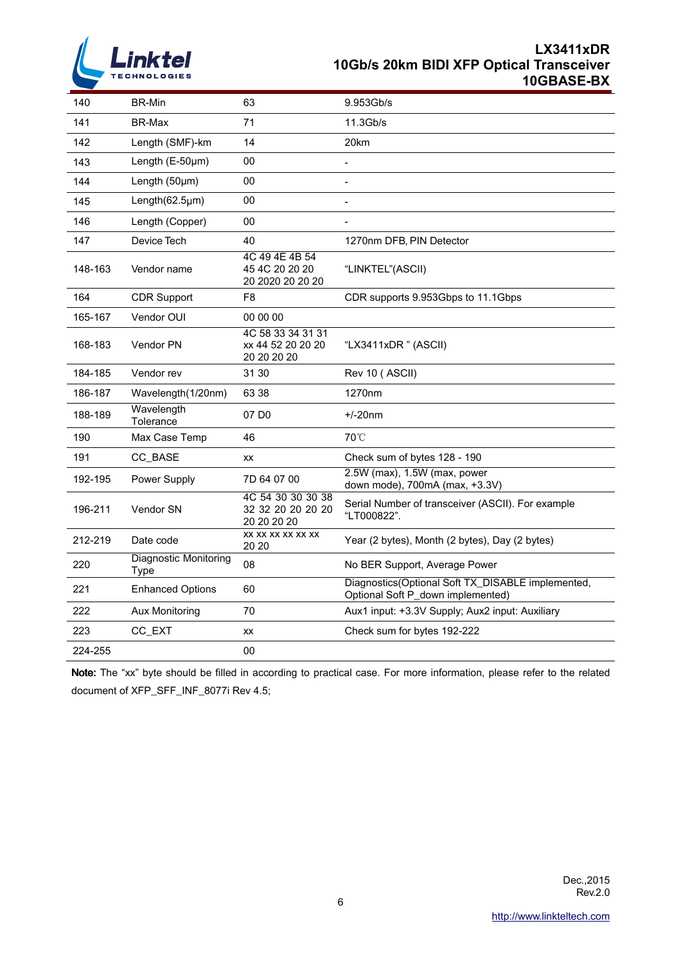

### **LX3411xDR 10Gb/s 20km BIDI XFP Optical Transceiver 10GBASE-BX**

| 140     | <b>BR-Min</b>                        | 63                                                    | 9.953Gb/s                                                                              |
|---------|--------------------------------------|-------------------------------------------------------|----------------------------------------------------------------------------------------|
| 141     | <b>BR-Max</b>                        | 71                                                    | 11.3Gb/s                                                                               |
| 142     | Length (SMF)-km                      | 14                                                    | 20km                                                                                   |
| 143     | Length (E-50µm)                      | 00                                                    | $\overline{\phantom{0}}$                                                               |
| 144     | Length $(50 \mu m)$                  | 00                                                    | $\overline{\phantom{a}}$                                                               |
| 145     | Length(62.5µm)                       | 00                                                    | $\overline{\phantom{a}}$                                                               |
| 146     | Length (Copper)                      | 00                                                    |                                                                                        |
| 147     | Device Tech                          | 40                                                    | 1270nm DFB, PIN Detector                                                               |
| 148-163 | Vendor name                          | 4C 49 4E 4B 54<br>45 4C 20 20 20<br>20 2020 20 20 20  | "LINKTEL"(ASCII)                                                                       |
| 164     | <b>CDR Support</b>                   | F <sub>8</sub>                                        | CDR supports 9.953Gbps to 11.1Gbps                                                     |
| 165-167 | Vendor OUI                           | 00 00 00                                              |                                                                                        |
| 168-183 | Vendor PN                            | 4C 58 33 34 31 31<br>xx 44 52 20 20 20<br>20 20 20 20 | "LX3411xDR" (ASCII)                                                                    |
| 184-185 | Vendor rev                           | 31 30                                                 | Rev 10 (ASCII)                                                                         |
| 186-187 | Wavelength(1/20nm)                   | 63 38                                                 | 1270nm                                                                                 |
| 188-189 | Wavelength<br>Tolerance              | 07 D <sub>0</sub>                                     | $+/-20$ nm                                                                             |
| 190     | Max Case Temp                        | 46                                                    | 70°C                                                                                   |
| 191     | CC BASE                              | <b>XX</b>                                             | Check sum of bytes 128 - 190                                                           |
| 192-195 | Power Supply                         | 7D 64 07 00                                           | 2.5W (max), 1.5W (max, power<br>down mode), 700mA (max, +3.3V)                         |
| 196-211 | Vendor SN                            | 4C 54 30 30 30 38<br>32 32 20 20 20 20<br>20 20 20 20 | Serial Number of transceiver (ASCII). For example<br>"LT000822".                       |
| 212-219 | Date code                            | XX XX XX XX XX XX<br>20 20                            | Year (2 bytes), Month (2 bytes), Day (2 bytes)                                         |
| 220     | <b>Diagnostic Monitoring</b><br>Type | 08                                                    | No BER Support, Average Power                                                          |
| 221     | <b>Enhanced Options</b>              | 60                                                    | Diagnostics(Optional Soft TX_DISABLE implemented,<br>Optional Soft P_down implemented) |
| 222     | Aux Monitoring                       | 70                                                    | Aux1 input: +3.3V Supply; Aux2 input: Auxiliary                                        |
| 223     | CC_EXT                               | XX                                                    | Check sum for bytes 192-222                                                            |
| 224-255 |                                      | 00                                                    |                                                                                        |

Note: The "xx" byte should be filled in according to practical case. For more information, please refer to the related document of XFP\_SFF\_INF\_8077i Rev 4.5;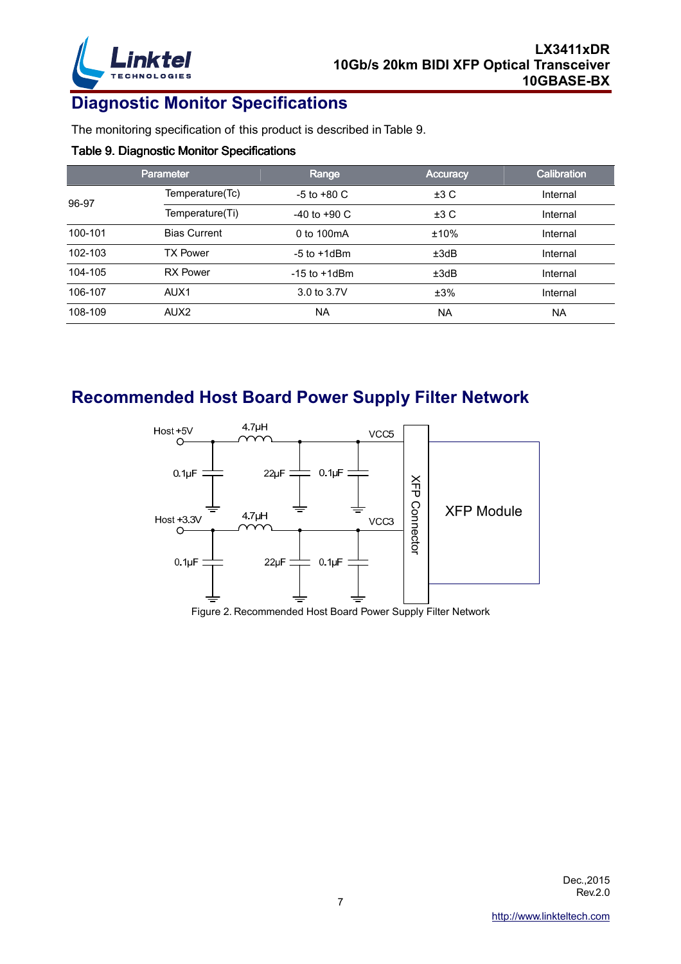

# **Diagnostic Monitor Specifications**

The monitoring specification of this product is described in Table 9.

#### Table 9. Diagnostic Monitor Specifications

|         | <b>Parameter</b>    | Range             | <b>Accuracy</b> | <b>Calibration</b> |
|---------|---------------------|-------------------|-----------------|--------------------|
| 96-97   | Temperature(Tc)     | $-5$ to $+80$ C   | ±3C             | Internal           |
|         | Temperature(Ti)     | $-40$ to $+90$ C  | ±3 C            | Internal           |
| 100-101 | <b>Bias Current</b> | 0 to 100mA        | ±10%            | Internal           |
| 102-103 | <b>TX Power</b>     | $-5$ to $+1$ dBm  | ±3dB            | Internal           |
| 104-105 | <b>RX Power</b>     | $-15$ to $+1$ dBm | ±3dB            | Internal           |
| 106-107 | AUX1                | 3.0 to 3.7V       | ±3%             | Internal           |
| 108-109 | AUX <sub>2</sub>    | <b>NA</b>         | <b>NA</b>       | <b>NA</b>          |

### **Recommended Host Board Power Supply Filter Network**



Figure 2. Recommended Host Board Power Supply Filter Network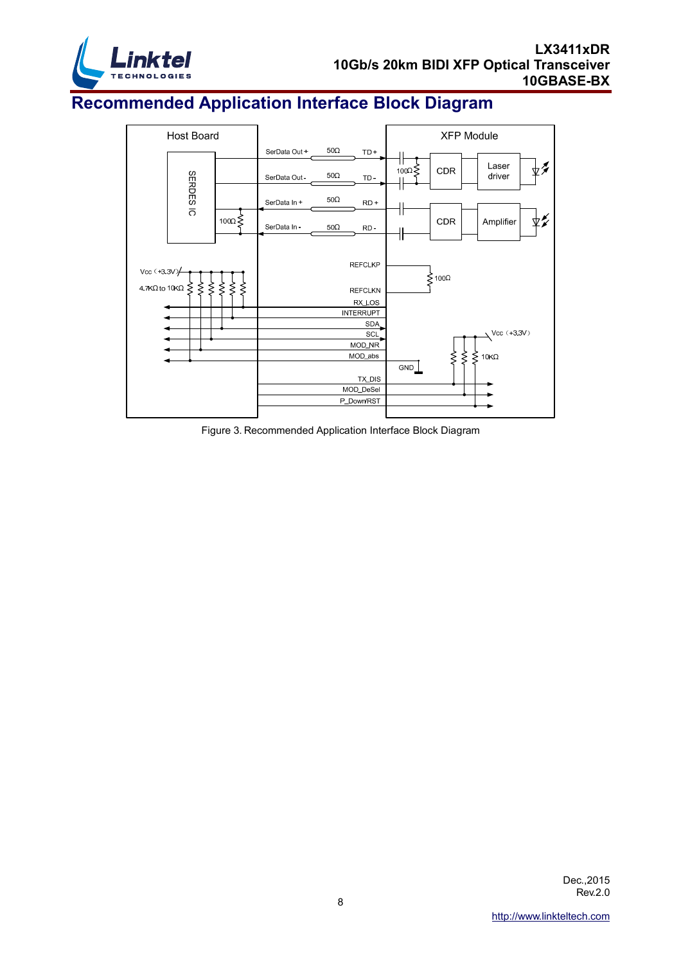

# **Recommended Application Interface Block Diagram**



Figure 3. Recommended Application Interface Block Diagram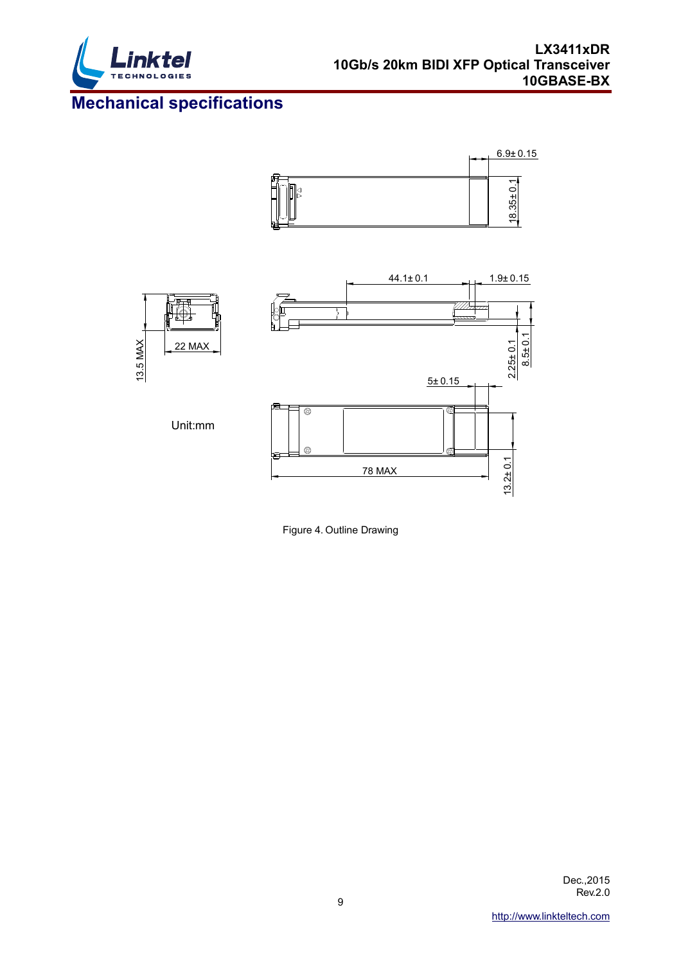

# **Mechanical specifications**





Figure 4. Outline Drawing